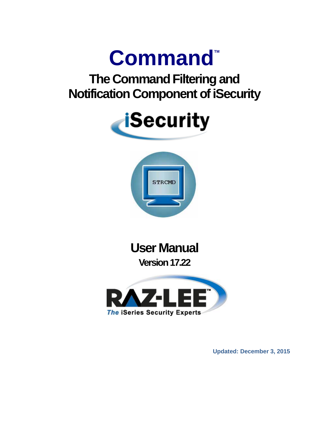





**User Manual Version 17.22**



**Updated: December 3, 2015**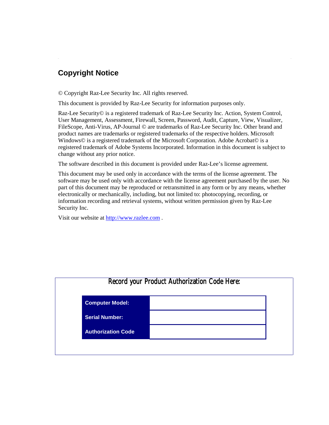### **Copyright Notice**

© Copyright Raz-Lee Security Inc. All rights reserved.

This document is provided by Raz-Lee Security for information purposes only.

Raz-Lee Security© is a registered trademark of Raz-Lee Security Inc. Action, System Control, User Management, Assessment, Firewall, Screen, Password, Audit, Capture, View, Visualizer, FileScope, Anti-Virus, AP-Journal © are trademarks of Raz-Lee Security Inc. Other brand and product names are trademarks or registered trademarks of the respective holders. Microsoft Windows© is a registered trademark of the Microsoft Corporation. Adobe Acrobat© is a registered trademark of Adobe Systems Incorporated. Information in this document is subject to change without any prior notice.

The software described in this document is provided under Raz-Lee's license agreement.

This document may be used only in accordance with the terms of the license agreement. The software may be used only with accordance with the license agreement purchased by the user. No part of this document may be reproduced or retransmitted in any form or by any means, whether electronically or mechanically, including, but not limited to: photocopying, recording, or information recording and retrieval systems, without written permission given by Raz-Lee Security Inc.

Visit our website at [http://www.razlee.com](http://www.razlee.com/) .

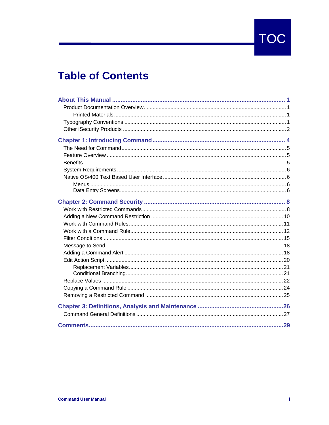

# **Table of Contents**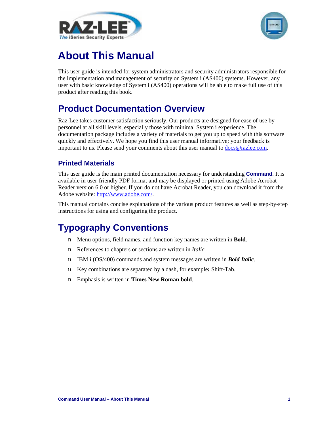



# <span id="page-3-0"></span>**About This Manual**

This user guide is intended for system administrators and security administrators responsible for the implementation and management of security on System i (AS400) systems. However, any user with basic knowledge of System i (AS400) operations will be able to make full use of this product after reading this book.

## <span id="page-3-1"></span>**Product Documentation Overview**

Raz-Lee takes customer satisfaction seriously. Our products are designed for ease of use by personnel at all skill levels, especially those with minimal System i experience. The documentation package includes a variety of materials to get you up to speed with this software quickly and effectively. We hope you find this user manual informative; your feedback is important to us. Please send your comments about this user manual to  $\frac{d\cos\omega}{d\cos\omega}$ .

### <span id="page-3-2"></span>**Printed Materials**

This user guide is the main printed documentation necessary for understanding **Command**. It is available in user-friendly PDF format and may be displayed or printed using Adobe Acrobat Reader version 6.0 or higher. If you do not have Acrobat Reader, you can download it from the Adobe website: [http://www.adobe.com/.](http://www.adobe.com/)

This manual contains concise explanations of the various product features as well as step-by-step instructions for using and configuring the product.

## <span id="page-3-3"></span>**Typography Conventions**

- n Menu options, field names, and function key names are written in **Bold**.
- n References to chapters or sections are written in *Italic*.
- n IBM i (OS/400) commands and system messages are written in *Bold Italic*.
- n Key combinations are separated by a dash, for example**:** Shift-Tab.
- n Emphasis is written in **Times New Roman bold**.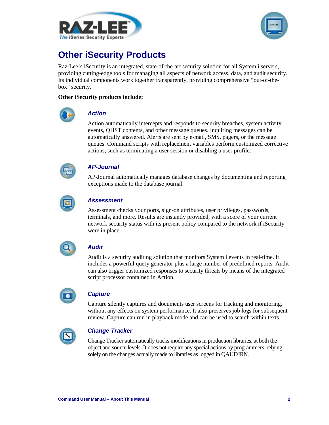



## <span id="page-4-0"></span>**Other iSecurity Products**

Raz-Lee's iSecurity is an integrated, state-of-the-art security solution for all System i servers, providing cutting-edge tools for managing all aspects of network access, data, and audit security. Its individual components work together transparently, providing comprehensive "out-of-thebox" security.

#### **Other iSecurity products include:**



#### *Action*

Action automatically intercepts and responds to security breaches, system activity events, QHST contents, and other message queues. Inquiring messages can be automatically answered. Alerts are sent by e-mail, SMS, pagers, or the message queues. Command scripts with replacement variables perform customized corrective actions, such as terminating a user session or disabling a user profile.



#### *AP-Journal*

AP-Journal automatically manages database changes by documenting and reporting exceptions made to the database journal.



#### *Assessment*

Assessment checks your ports, sign-on attributes, user privileges, passwords, terminals, and more. Results are instantly provided, with a score of your current network security status with its present policy compared to the network if iSecurity were in place.



#### *Audit*

Audit is a security auditing solution that monitors System i events in real-time. It includes a powerful query generator plus a large number of predefined reports. Audit can also trigger customized responses to security threats by means of the integrated script processor contained in Action.



#### *Capture*

Capture silently captures and documents user screens for tracking and monitoring, without any effects on system performance. It also preserves job logs for subsequent review. Capture can run in playback mode and can be used to search within texts.



#### *Change Tracker*

Change Tracker automatically tracks modifications in production libraries, at both the object and source levels. It does not require any special actions by programmers, relying solely on the changes actually made to libraries as logged in QAUDJRN.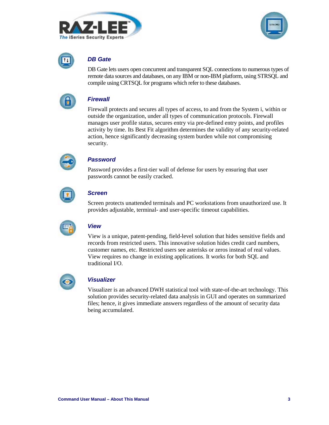





#### *DB Gate*

DB Gate lets users open concurrent and transparent SQL connections to numerous types of remote data sources and databases, on any IBM or non-IBM platform, using STRSQL and compile using CRTSQL for programs which refer to these databases.



#### *Firewall*

Firewall protects and secures all types of access, to and from the System i, within or outside the organization, under all types of communication protocols. Firewall manages user profile status, secures entry via pre-defined entry points, and profiles activity by time. Its Best Fit algorithm determines the validity of any security-related action, hence significantly decreasing system burden while not compromising security.



### *Password*

Password provides a first-tier wall of defense for users by ensuring that user passwords cannot be easily cracked.



#### *Screen*

Screen protects unattended terminals and PC workstations from unauthorized use. It provides adjustable, terminal- and user-specific timeout capabilities.

|  | × |  |
|--|---|--|
|  |   |  |
|  |   |  |
|  |   |  |
|  |   |  |

### *View*

View is a unique, patent-pending, field-level solution that hides sensitive fields and records from restricted users. This innovative solution hides credit card numbers, customer names, etc. Restricted users see asterisks or zeros instead of real values. View requires no change in existing applications. It works for both SQL and traditional I/O.



#### *Visualizer*

Visualizer is an advanced DWH statistical tool with state-of-the-art technology. This solution provides security-related data analysis in GUI and operates on summarized files; hence, it gives immediate answers regardless of the amount of security data being accumulated.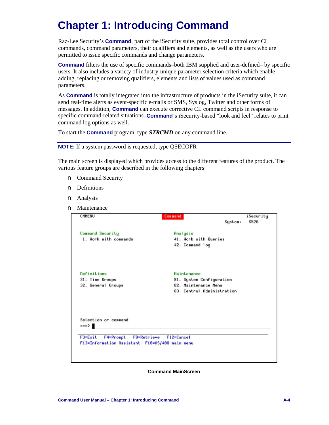# <span id="page-6-0"></span>**Chapter 1: Introducing Command**

Raz-Lee Security's **Command**, part of the iSecurity suite, provides total control over CL commands, command parameters, their qualifiers and elements, as well as the users who are permitted to issue specific commands and change parameters.

**Command** filters the use of specific commands–both IBM supplied and user-defined– by specific users. It also includes a variety of industry-unique parameter selection criteria which enable adding, replacing or removing qualifiers, elements and lists of values used as command parameters.

As **Command** is totally integrated into the infrastructure of products in the iSecurity suite, it can send real-time alerts as event-specific e-mails or SMS, Syslog, Twitter and other forms of messages. In addition, **Command** can execute corrective CL command scripts in response to specific command-related situations. **Command**'s iSecurity-based "look and feel" relates to print command log options as well.

To start the **Command** program, type *STRCMD* on any command line.

#### **NOTE:** If a system password is requested, type QSECOFR

The main screen is displayed which provides access to the different features of the product. The various feature groups are described in the following chapters:

- **n** Command Security
- **n** Definitions
- **n** Analysis
- **n** Maintenance



**Command MainScreen**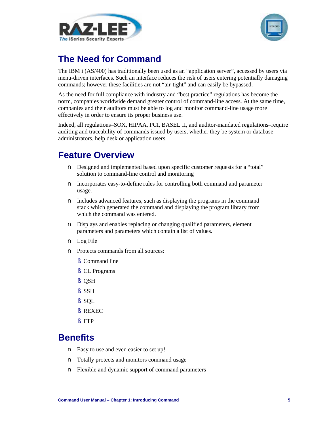



## <span id="page-7-0"></span>**The Need for Command**

The IBM i (AS/400) has traditionally been used as an "application server", accessed by users via menu-driven interfaces. Such an interface reduces the risk of users entering potentially damaging commands; however these facilities are not "air-tight" and can easily be bypassed.

As the need for full compliance with industry and "best practice" regulations has become the norm, companies worldwide demand greater control of command-line access. At the same time, companies and their auditors must be able to log and monitor command-line usage more effectively in order to ensure its proper business use.

Indeed, all regulations–SOX, HIPAA, PCI, BASEL II, and auditor-mandated regulations–require auditing and traceability of commands issued by users, whether they be system or database administrators, help desk or application users.

### <span id="page-7-1"></span>**Feature Overview**

- n Designed and implemented based upon specific customer requests for a "total" solution to command-line control and monitoring
- n Incorporates easy-to-define rules for controlling both command and parameter usage.
- n Includes advanced features, such as displaying the programs in the command stack which generated the command and displaying the program library from which the command was entered.
- n Displays and enables replacing or changing qualified parameters, element parameters and parameters which contain a list of values.
- n Log File
- n Protects commands from all sources:
	- § Command line
	- § CL Programs
	- § QSH
	- § SSH
	- § SQL
	- § REXEC
	- § FTP

### <span id="page-7-2"></span>**Benefits**

- **n** Easy to use and even easier to set up!
- n Totally protects and monitors command usage
- n Flexible and dynamic support of command parameters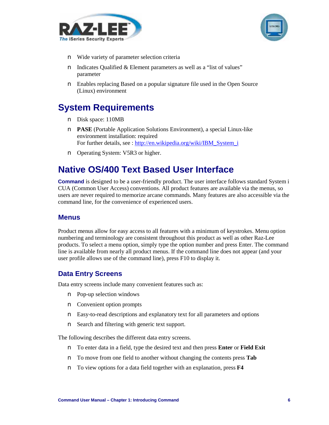



- n Wide variety of parameter selection criteria
- n Indicates Qualified & Element parameters as well as a "list of values" parameter
- n Enables replacing Based on a popular signature file used in the Open Source (Linux) environment

## <span id="page-8-0"></span>**System Requirements**

- n Disk space: 110MB
- n **PASE** (Portable Application Solutions Environment), a special Linux-like environment installation: required For further details, see : [http://en.wikipedia.org/wiki/IBM\\_System\\_i](http://en.wikipedia.org/wiki/IBM_System_i)
- n Operating System: V5R3 or higher.

## <span id="page-8-1"></span>**Native OS/400 Text Based User Interface**

**Command** is designed to be a user-friendly product. The user interface follows standard System i CUA (Common User Access) conventions. All product features are available via the menus, so users are never required to memorize arcane commands. Many features are also accessible via the command line, for the convenience of experienced users.

### <span id="page-8-2"></span>**Menus**

Product menus allow for easy access to all features with a minimum of keystrokes. Menu option numbering and terminology are consistent throughout this product as well as other Raz-Lee products. To select a menu option, simply type the option number and press Enter. The command line is available from nearly all product menus. If the command line does not appear (and your user profile allows use of the command line), press F10 to display it.

### <span id="page-8-3"></span>**Data Entry Screens**

Data entry screens include many convenient features such as:

- **n** Pop-up selection windows
- n Convenient option prompts
- n Easy-to-read descriptions and explanatory text for all parameters and options
- **n** Search and filtering with generic text support.

The following describes the different data entry screens.

- n To enter data in a field, type the desired text and then press **Enter** or **Field Exit**
- n To move from one field to another without changing the contents press **Tab**
- n To view options for a data field together with an explanation, press **F4**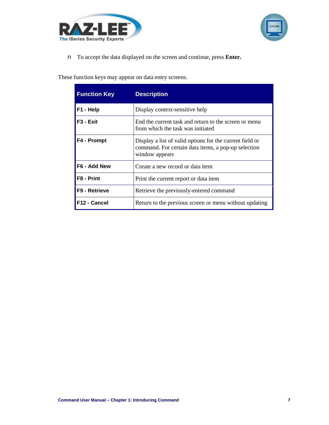



n To accept the data displayed on the screen and continue, press **Enter.**

These function keys may appear on data entry screens.

| <b>Function Key</b>      | <b>Description</b>                                                                                                                |
|--------------------------|-----------------------------------------------------------------------------------------------------------------------------------|
| F1 - Help                | Display context-sensitive help                                                                                                    |
| F <sub>3</sub> - Exit    | End the current task and return to the screen or menu<br>from which the task was initiated                                        |
| F4 - Prompt              | Display a list of valid options for the current field or<br>command. For certain data items, a pop-up selection<br>window appears |
| F6 - Add New             | Create a new record or data item                                                                                                  |
| F8 - Print               | Print the current report or data item                                                                                             |
| F9 - Retrieve            | Retrieve the previously-entered command                                                                                           |
| F <sub>12</sub> - Cancel | Return to the previous screen or menu without updating                                                                            |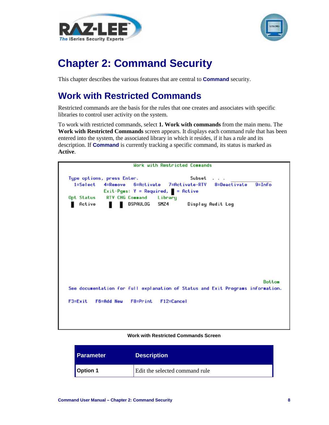



# <span id="page-10-0"></span>**Chapter 2: Command Security**

This chapter describes the various features that are central to **Command** security.

## <span id="page-10-1"></span>**Work with Restricted Commands**

Restricted commands are the basis for the rules that one creates and associates with specific libraries to control user activity on the system.

To work with restricted commands, select **1. Work with commands** from the main menu. The **Work with Restricted Commands** screen appears. It displays each command rule that has been entered into the system, the associated library in which it resides, if it has a rule and its description. If **Command** is currently tracking a specific command, its status is marked as **Active**.

| Hork with Restricted Commands                                                                                                                                                                                                             |
|-------------------------------------------------------------------------------------------------------------------------------------------------------------------------------------------------------------------------------------------|
| Subset<br>Type options, press Enter.<br>1=Select 4=Remove 6=Activate 7=Activate-RTV 8=Deactivate<br>$9=Info$<br>$Exit-Pgms: Y = Required, = Active$<br>Opt Status RTV CHG Command Library<br>Active<br>DSPAULOG<br>SMZ4 Display Audit Log |
|                                                                                                                                                                                                                                           |
| Bottom                                                                                                                                                                                                                                    |
| See documentation for full explanation of Status and Exit Programs information.                                                                                                                                                           |
| F3=Exit F6=Add New F8=Print F12=Cancel                                                                                                                                                                                                    |

#### **Work with Restricted Commands Screen**

| Parameter | <b>Description</b>             |
|-----------|--------------------------------|
| Option 1  | Edit the selected command rule |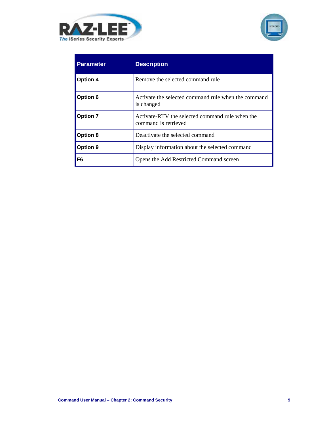



| <b>Parameter</b> | <b>Description</b>                                                      |
|------------------|-------------------------------------------------------------------------|
| <b>Option 4</b>  | Remove the selected command rule                                        |
| Option 6         | Activate the selected command rule when the command<br>is changed       |
| <b>Option 7</b>  | Activate-RTV the selected command rule when the<br>command is retrieved |
| Option 8         | Deactivate the selected command                                         |
| <b>Option 9</b>  | Display information about the selected command                          |
| F6               | Opens the Add Restricted Command screen                                 |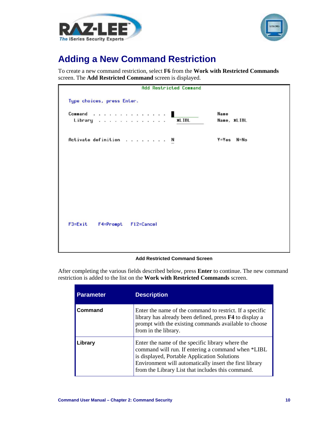



## <span id="page-12-0"></span>**Adding a New Command Restriction**

To create a new command restriction, select **F6** from the **Work with Restricted Commands** screen. The **Add Restricted Command** screen is displayed.



#### **Add Restricted Command Screen**

After completing the various fields described below, press **Enter** to continue. The new command restriction is added to the list on the **Work with Restricted Commands** screen.

| <b>Parameter</b> | <b>Description</b>                                                                                                                                                                                                                                                     |
|------------------|------------------------------------------------------------------------------------------------------------------------------------------------------------------------------------------------------------------------------------------------------------------------|
| Command          | Enter the name of the command to restrict. If a specific<br>library has already been defined, press F4 to display a<br>prompt with the existing commands available to choose<br>from in the library.                                                                   |
| Library          | Enter the name of the specific library where the<br>command will run. If entering a command when *LIBL<br>is displayed, Portable Application Solutions<br>Environment will automatically insert the first library<br>from the Library List that includes this command. |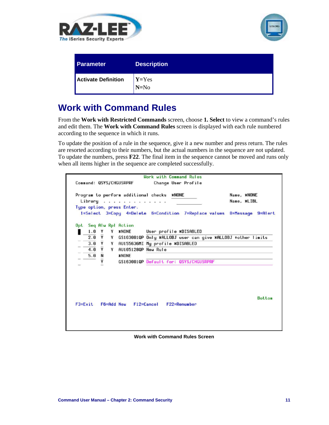



| <b>Parameter</b>    | <b>Description</b>  |
|---------------------|---------------------|
| Activate Definition | $Y = Yes$<br>$N=N0$ |

## <span id="page-13-0"></span>**Work with Command Rules**

From the **Work with Restricted Commands** screen, choose **1. Select** to view a command's rules and edit them. The **Work with Command Rules** screen is displayed with each rule numbered according to the sequence in which it runs.

To update the position of a rule in the sequence, give it a new number and press return. The rules are resorted according to their numbers, but the actual numbers in the sequence are not updated. To update the numbers, press **F22**. The final item in the sequence cannot be moved and runs only when all items higher in the sequence are completed successfully.

| Hork with Command Rules                                                                                                                                                                                                                                                                                                                                                                                                                                                                                                                                  |                            |
|----------------------------------------------------------------------------------------------------------------------------------------------------------------------------------------------------------------------------------------------------------------------------------------------------------------------------------------------------------------------------------------------------------------------------------------------------------------------------------------------------------------------------------------------------------|----------------------------|
| Command: QSYS/CHGUSRPRF<br>Change User Profile                                                                                                                                                                                                                                                                                                                                                                                                                                                                                                           |                            |
| Program to perform additional checks<br><b>*NONE</b><br>Library<br>Type option, press Enter.<br>1=Select 3=Copy 4=Delete 6=Condition 7=Replace values 8=Message 9=Alert<br>Opt Seq Alu Rpl Action<br>*NONE<br>1.0<br>User profile *DISABLED<br>Y<br>Y<br>$\overline{\mathsf{Y}}$<br>2.0<br>GS163001QP Only *ALLOBJ user can give *ALLOBJ +other limits<br>Y<br>Y<br>3.0<br>Y<br>AU155636MI My profile *DISABLED<br>$\overline{\mathsf{Y}}$<br>4.0<br>Y<br>AU1051280P New Rule<br>5.0<br><b>*NONE</b><br>И<br>Y<br>GS163001QP Default for: QSYS/CHGUSRPRF | Name, *NONE<br>Name, *LIBL |
| F3=Exit F6=Add New F12=Cancel<br>F22=Renumber                                                                                                                                                                                                                                                                                                                                                                                                                                                                                                            | <b>Bottom</b>              |

**Work with Command Rules Screen**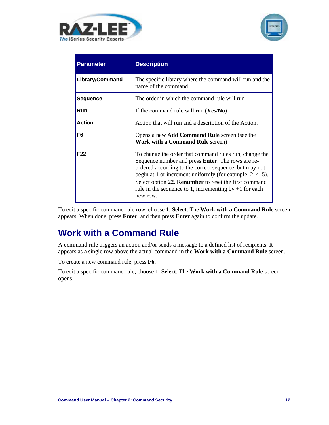



| <b>Parameter</b> | <b>Description</b>                                                                                                                                                                                                                                                                                                                                                     |
|------------------|------------------------------------------------------------------------------------------------------------------------------------------------------------------------------------------------------------------------------------------------------------------------------------------------------------------------------------------------------------------------|
| Library/Command  | The specific library where the command will run and the<br>name of the command.                                                                                                                                                                                                                                                                                        |
| <b>Sequence</b>  | The order in which the command rule will run                                                                                                                                                                                                                                                                                                                           |
| Run              | If the command rule will run $(Yes/No)$                                                                                                                                                                                                                                                                                                                                |
| <b>Action</b>    | Action that will run and a description of the Action.                                                                                                                                                                                                                                                                                                                  |
| F6               | Opens a new <b>Add Command Rule</b> screen (see the<br><b>Work with a Command Rule screen)</b>                                                                                                                                                                                                                                                                         |
| F <sub>22</sub>  | To change the order that command rules run, change the<br>Sequence number and press Enter. The rows are re-<br>ordered according to the correct sequence, but may not<br>begin at 1 or increment uniformly (for example, $2, 4, 5$ ).<br>Select option 22. Renumber to reset the first command<br>rule in the sequence to 1, incrementing by $+1$ for each<br>new row. |

To edit a specific command rule row, choose **1. Select**. The **Work with a Command Rule** screen appears. When done, press **Enter**, and then press **Enter** again to confirm the update.

## <span id="page-14-0"></span>**Work with a Command Rule**

A command rule triggers an action and/or sends a message to a defined list of recipients. It appears as a single row above the actual command in the **Work with a Command Rule** screen.

To create a new command rule, press **F6**.

To edit a specific command rule, choose **1. Select**. The **Work with a Command Rule** screen opens.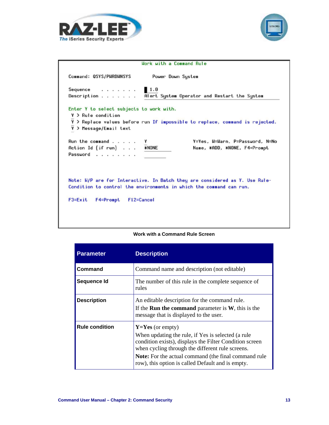



| Hork with a Command Rule                                                                                                                           |  |  |
|----------------------------------------------------------------------------------------------------------------------------------------------------|--|--|
| Command: QSYS/PWRDWNSYS<br>Power Down System                                                                                                       |  |  |
| Sequence $\ldots$ , $\ldots$ 1.0<br>Description Alert System Operator and Restart the System                                                       |  |  |
| Enter Y to select subjects to work with.<br>Y > Rule condition                                                                                     |  |  |
| Y > Replace values before run If impossible to replace, command is rejected.<br>Y > Message/Email text                                             |  |  |
| Run the command<br>Y=Yes, W=Warn, P=Password, N=No<br>Υ<br>Action Id (if run) *NONE<br>Name, *ADD, *NONE, F4=Prompt                                |  |  |
| Password                                                                                                                                           |  |  |
|                                                                                                                                                    |  |  |
| Note: W/P are for Interactive. In Batch they are considered as Y. Use Rule-<br>Condition to control the environments in which the command can run. |  |  |
| F12=Cancel<br>$F3 = Exit$<br><b>F4=Prompt</b>                                                                                                      |  |  |
|                                                                                                                                                    |  |  |
|                                                                                                                                                    |  |  |

#### **Work with a Command Rule Screen**

| <b>Parameter</b>      | <b>Description</b>                                                                                                                                                                                                                                                                                            |
|-----------------------|---------------------------------------------------------------------------------------------------------------------------------------------------------------------------------------------------------------------------------------------------------------------------------------------------------------|
| Command               | Command name and description (not editable)                                                                                                                                                                                                                                                                   |
| Sequence Id           | The number of this rule in the complete sequence of<br>rules                                                                                                                                                                                                                                                  |
| <b>Description</b>    | An editable description for the command rule.<br>If the <b>Run the command</b> parameter is $W$ , this is the<br>message that is displayed to the user.                                                                                                                                                       |
| <b>Rule condition</b> | $Y = Yes$ (or empty)<br>When updating the rule, if Yes is selected (a rule<br>condition exists), displays the Filter Condition screen<br>when cycling through the different rule screens.<br><b>Note:</b> For the actual command (the final command rule<br>row), this option is called Default and is empty. |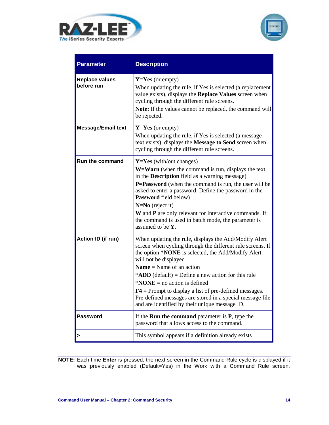



| <b>Parameter</b>                    | <b>Description</b>                                                                                                                                                                                                                                                                                                                                                                                                                                                                                        |
|-------------------------------------|-----------------------------------------------------------------------------------------------------------------------------------------------------------------------------------------------------------------------------------------------------------------------------------------------------------------------------------------------------------------------------------------------------------------------------------------------------------------------------------------------------------|
| <b>Replace values</b><br>before run | $Y = Yes$ (or empty)<br>When updating the rule, if Yes is selected (a replacement<br>value exists), displays the Replace Values screen when<br>cycling through the different rule screens.<br>Note: If the values cannot be replaced, the command will<br>be rejected.                                                                                                                                                                                                                                    |
| Message/Email text                  | $Y = Yes$ (or empty)<br>When updating the rule, if Yes is selected (a message<br>text exists), displays the Message to Send screen when<br>cycling through the different rule screens.                                                                                                                                                                                                                                                                                                                    |
| <b>Run the command</b>              | $Y = Yes$ (with/out changes)<br>W=Warn (when the command is run, displays the text<br>in the Description field as a warning message)<br><b>P=Password</b> (when the command is run, the user will be<br>asked to enter a password. Define the password in the<br>Password field below)<br>$N=No$ (reject it)<br>W and P are only relevant for interactive commands. If<br>the command is used in batch mode, the parameter is<br>assumed to be $Y$ .                                                      |
| Action ID (if run)                  | When updating the rule, displays the Add/Modify Alert<br>screen when cycling through the different rule screens. If<br>the option *NONE is selected, the Add/Modify Alert<br>will not be displayed<br>Name = Name of an action<br>* <b>ADD</b> (default) = Define a new action for this rule<br>$*NONE = no action is defined$<br>$F4$ = Prompt to display a list of pre-defined messages.<br>Pre-defined messages are stored in a special message file<br>and are identified by their unique message ID. |
| <b>Password</b>                     | If the <b>Run the command</b> parameter is $P$ , type the<br>password that allows access to the command.                                                                                                                                                                                                                                                                                                                                                                                                  |
|                                     | This symbol appears if a definition already exists                                                                                                                                                                                                                                                                                                                                                                                                                                                        |

**NOTE:** Each time **Enter** is pressed, the next screen in the Command Rule cycle is displayed if it was previously enabled (Default=Yes) in the Work with a Command Rule screen.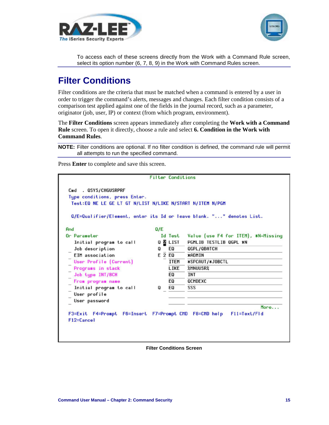



To access each of these screens directly from the Work with a Command Rule screen, select its option number (6, 7, 8, 9) in the Work with Command Rules screen.

## <span id="page-17-0"></span>**Filter Conditions**

Filter conditions are the criteria that must be matched when a command is entered by a user in order to trigger the command's alerts, messages and changes. Each filter condition consists of a comparison test applied against one of the fields in the journal record, such as a parameter, originator (job, user, IP) or context (from which program, environment).

The **Filter Conditions** screen appears immediately after completing the **Work with a Command Rule** screen. To open it directly, choose a rule and select **6. Condition in the Work with Command Rules**.

**NOTE:** Filter conditions are optional. If no filter condition is defined, the command rule will permit all attempts to run the specified command.

Press **Enter** to complete and save this screen.

| <b>Filter Conditions</b>                                                                                                 |     |             |                                                                      |  |
|--------------------------------------------------------------------------------------------------------------------------|-----|-------------|----------------------------------------------------------------------|--|
| . QSYS/CHGUSRPRF<br>$C$ md<br>Type conditions, press Enter.<br>Test:EQ NE LE GE LT GT N/LIST N/LIKE N/START N/ITEM N/PGM |     |             | Q/E=Qualifier/Element, enter its Id or leave blank. "" denotes List. |  |
| And                                                                                                                      | 0/E |             |                                                                      |  |
| Or Parameter                                                                                                             |     | Id Test     | Value (use F4 for ITEM), *N=Missing                                  |  |
| Initial program to call                                                                                                  |     | 0 2 LIST    | PGMLIB TESTLIB OGPL *N                                               |  |
| Job description                                                                                                          | O   | EQ          | QGPL/QBATCH                                                          |  |
| EIM association                                                                                                          |     | $E$ 2 $E$ 0 | <b>*ADMIN</b>                                                        |  |
| User Profile (Current)                                                                                                   |     | <b>ITEM</b> | *SPCAUT/*JOBCTL                                                      |  |
| Programs in stack                                                                                                        |     | LIKE        | <b>XMNUUSRX</b>                                                      |  |
| Job type INT/BCH                                                                                                         |     | EQ          | INT                                                                  |  |
| From program name:                                                                                                       |     | E0          | <b>OCMDEXC</b>                                                       |  |
| Initial program to call                                                                                                  | o   | EΟ          | SSS                                                                  |  |
| User profile                                                                                                             |     |             |                                                                      |  |
| User password                                                                                                            |     |             |                                                                      |  |
|                                                                                                                          |     |             | More                                                                 |  |
| F3=Exit F4=Prompt F6=Insert                                                                                              |     |             | F7=Prompt CMD F8=CMD help<br>$F11 = Text/F1d$                        |  |
| $F12 = Cancel$                                                                                                           |     |             |                                                                      |  |
|                                                                                                                          |     |             |                                                                      |  |
|                                                                                                                          |     |             |                                                                      |  |
|                                                                                                                          |     |             |                                                                      |  |

**Filter Conditions Screen**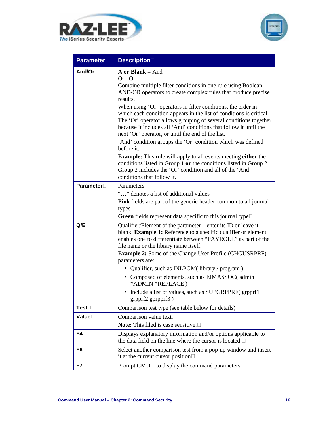



| <b>Parameter</b> | <b>Description</b>                                                                                                                                                                                                                                                                                                                                                                                                                                                                                                                                                                                                                                                                                                                                                                                                                                       |
|------------------|----------------------------------------------------------------------------------------------------------------------------------------------------------------------------------------------------------------------------------------------------------------------------------------------------------------------------------------------------------------------------------------------------------------------------------------------------------------------------------------------------------------------------------------------------------------------------------------------------------------------------------------------------------------------------------------------------------------------------------------------------------------------------------------------------------------------------------------------------------|
| And/Or□          | A or Blank $=$ And<br>$\mathbf{O} = \mathbf{O}$ r<br>Combine multiple filter conditions in one rule using Boolean<br>AND/OR operators to create complex rules that produce precise<br>results.<br>When using 'Or' operators in filter conditions, the order in<br>which each condition appears in the list of conditions is critical.<br>The 'Or' operator allows grouping of several conditions together<br>because it includes all 'And' conditions that follow it until the<br>next 'Or' operator, or until the end of the list.<br>'And' condition groups the 'Or' condition which was defined<br>before it.<br><b>Example:</b> This rule will apply to all events meeting either the<br>conditions listed in Group 1 or the conditions listed in Group 2.<br>Group 2 includes the 'Or' condition and all of the 'And'<br>conditions that follow it. |
| <b>Parameter</b> | Parameters<br>"" denotes a list of additional values<br><b>Pink</b> fields are part of the generic header common to all journal<br>types<br><b>Green</b> fields represent data specific to this journal type $\square$                                                                                                                                                                                                                                                                                                                                                                                                                                                                                                                                                                                                                                   |
| Q/E              | Qualifier/Element of the parameter – enter its ID or leave it<br>blank. Example 1: Reference to a specific qualifier or element<br>enables one to differentiate between "PAYROLL" as part of the<br>file name or the library name itself.<br><b>Example 2:</b> Some of the Change User Profile (CHGUSRPRF)<br>parameters are:<br>• Qualifier, such as INLPGM(library / program)<br>Composed of elements, such as EIMASSOC(admin<br>*ADMIN *REPLACE)<br>· Include a list of values, such as SUPGRPPRF(grpprf1<br>grpprf2 gprpprf3)                                                                                                                                                                                                                                                                                                                        |
| <b>Test</b> □    | Comparison test type (see table below for details)                                                                                                                                                                                                                                                                                                                                                                                                                                                                                                                                                                                                                                                                                                                                                                                                       |
| Value            | Comparison value text.<br>Note: This filed is case sensitive. $\square$                                                                                                                                                                                                                                                                                                                                                                                                                                                                                                                                                                                                                                                                                                                                                                                  |
| F4               | Displays explanatory information and/or options applicable to<br>the data field on the line where the cursor is located $\Box$                                                                                                                                                                                                                                                                                                                                                                                                                                                                                                                                                                                                                                                                                                                           |
| F6               | Select another comparison test from a pop-up window and insert<br>it at the current cursor position                                                                                                                                                                                                                                                                                                                                                                                                                                                                                                                                                                                                                                                                                                                                                      |
| F7               | Prompt CMD – to display the command parameters                                                                                                                                                                                                                                                                                                                                                                                                                                                                                                                                                                                                                                                                                                                                                                                                           |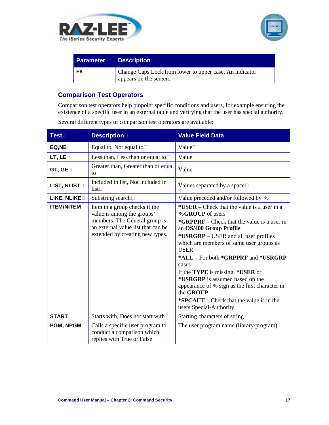



| <b>Parameter</b> | <b>Description</b>                                                                |
|------------------|-----------------------------------------------------------------------------------|
| F8               | Change Caps Lock from lower to upper case. An indicator<br>appears on the screen. |

### **Comparison Test Operators**

Comparison test operators help pinpoint specific conditions and users, for example ensuring the existence of a specific user in an external table and verifying that the user has special authority.

| <b>Test</b>       | <b>Description</b>                                                                                                                                                    | <b>Value Field Data</b>                                                                                                                                                                                                                                                                                                                                                                                                                                                                                                                   |
|-------------------|-----------------------------------------------------------------------------------------------------------------------------------------------------------------------|-------------------------------------------------------------------------------------------------------------------------------------------------------------------------------------------------------------------------------------------------------------------------------------------------------------------------------------------------------------------------------------------------------------------------------------------------------------------------------------------------------------------------------------------|
| EQ, NE            | Equal to, Not equal to $\square$                                                                                                                                      | Value□                                                                                                                                                                                                                                                                                                                                                                                                                                                                                                                                    |
| LT, LED           | Less than, Less than or equal to $\square$                                                                                                                            | Value                                                                                                                                                                                                                                                                                                                                                                                                                                                                                                                                     |
| GT, GED           | Greater than, Greater than or equal<br>to                                                                                                                             | Value                                                                                                                                                                                                                                                                                                                                                                                                                                                                                                                                     |
| LIST, NLIST       | Included in list, Not included in<br>list                                                                                                                             | Values separated by a space $\square$                                                                                                                                                                                                                                                                                                                                                                                                                                                                                                     |
| LIKE, NLIKE       | Substring search□                                                                                                                                                     | Value preceded and/or followed by %                                                                                                                                                                                                                                                                                                                                                                                                                                                                                                       |
| <b>ITEM/NITEM</b> | Item in a group checks if the<br>value is among the groups'<br>members. The General group is<br>an external value list that can be<br>extended by creating new types. | * <b>USER</b> – Check that the value is a user in a<br><b>%GROUP</b> of users<br><b>*GRPPRF</b> – Check that the value is a user in<br>an OS/400 Group Profile<br>*USRGRP - USER and all user profiles<br>which are members of same user groups as<br><b>USER</b><br>*ALL – For both *GRPPRF and *USRGRP<br>cases<br>If the TYPE is missing, *USER or<br>*USRGRP is assumed based on the<br>appearance of % sign as the first character in<br>the GROUP.<br>$*$ <b>SPCAUT</b> – Check that the value is in the<br>users Special-Authority |
| <b>START</b>      | Starts with, Does not start with                                                                                                                                      | Starting characters of string                                                                                                                                                                                                                                                                                                                                                                                                                                                                                                             |
| <b>PGM, NPGM</b>  | Calls a specific user program to<br>conduct a comparison which<br>replies with True or False                                                                          | The user program name (library/program)                                                                                                                                                                                                                                                                                                                                                                                                                                                                                                   |

Several different types of comparison test operators are available: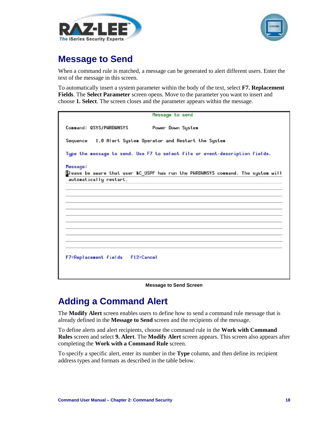



## <span id="page-20-0"></span>**Message to Send**

When a command rule is matched, a message can be generated to alert different users. Enter the text of the message in this screen.

To automatically insert a system parameter within the body of the text, select **F7. Replacement Fields**. The **Select Parameter** screen opens. Move to the parameter you want to insert and choose **1. Select**. The screen closes and the parameter appears within the message.

| Message to send                                                                          |  |  |  |  |
|------------------------------------------------------------------------------------------|--|--|--|--|
| Command: QSYS/PWRDWNSYS<br>Power Down System                                             |  |  |  |  |
| Sequence 1.0 Alert System Operator and Restart the System                                |  |  |  |  |
| Type the message to send. Use F7 to select file or event-description fields.             |  |  |  |  |
| Message:                                                                                 |  |  |  |  |
| <b>R</b> lease be aware that user &C_USPF has run the PWRDWNSYS command. The system will |  |  |  |  |
| automatically restart.                                                                   |  |  |  |  |
|                                                                                          |  |  |  |  |
|                                                                                          |  |  |  |  |
|                                                                                          |  |  |  |  |
|                                                                                          |  |  |  |  |
|                                                                                          |  |  |  |  |
|                                                                                          |  |  |  |  |
|                                                                                          |  |  |  |  |
|                                                                                          |  |  |  |  |
|                                                                                          |  |  |  |  |
|                                                                                          |  |  |  |  |
|                                                                                          |  |  |  |  |
| F7=Replacement fields F12=Cancel                                                         |  |  |  |  |
|                                                                                          |  |  |  |  |
|                                                                                          |  |  |  |  |
|                                                                                          |  |  |  |  |

**Message to Send Screen**

## <span id="page-20-1"></span>**Adding a Command Alert**

The **Modify Alert** screen enables users to define how to send a command rule message that is already defined in the **Message to Send** screen and the recipients of the message.

To define alerts and alert recipients, choose the command rule in the **Work with Command Rules** screen and select **9. Alert**. The **Modify Alert** screen appears. This screen also appears after completing the **Work with a Command Rule** screen.

To specify a specific alert, enter its number in the **Type** column, and then define its recipient address types and formats as described in the table below.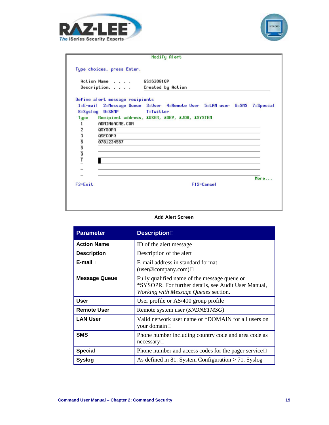



|                                                                                                   | Modify Alert                                                                                    |      |
|---------------------------------------------------------------------------------------------------|-------------------------------------------------------------------------------------------------|------|
|                                                                                                   | Type choices, press Enter.                                                                      |      |
|                                                                                                   | Action Name<br>GS1630010P<br>Description.<br>Created by Action                                  |      |
|                                                                                                   | Define alert message recipients                                                                 |      |
| $1 = E - mail$                                                                                    | 2=Message Queue 3=User 4=Remote User 5=LAN user 6=SMS 7=Special<br>8=Syslog 9=SNMP<br>T=Twitter |      |
| Type<br>1                                                                                         | Recipient address, *USER, *DEV, *JOB, *SYSTEM<br>ADMIN@ACME.COM                                 |      |
|                                                                                                   | <b>OSYSOPR</b>                                                                                  |      |
|                                                                                                   | <b>OSECOFR</b>                                                                                  |      |
| $\frac{1}{2}$ $\frac{1}{2}$ $\frac{1}{2}$ $\frac{1}{2}$ $\frac{1}{2}$ $\frac{1}{2}$ $\frac{1}{2}$ | 0781234567                                                                                      |      |
|                                                                                                   |                                                                                                 |      |
|                                                                                                   |                                                                                                 |      |
| -                                                                                                 |                                                                                                 |      |
| $F3 = Fx$ it                                                                                      | F12=Cancel                                                                                      | More |
|                                                                                                   |                                                                                                 |      |
|                                                                                                   |                                                                                                 |      |
|                                                                                                   |                                                                                                 |      |

#### **Add Alert Screen**

| <b>Parameter</b>     | <b>Description</b>                                                                                                                           |
|----------------------|----------------------------------------------------------------------------------------------------------------------------------------------|
| <b>Action Name</b>   | ID of the alert message                                                                                                                      |
| <b>Description</b>   | Description of the alert                                                                                                                     |
| $E$ -mail $\Box$     | E-mail address in standard format<br>(user@company.com)                                                                                      |
| <b>Message Queue</b> | Fully qualified name of the message queue or<br>*SYSOPR. For further details, see Audit User Manual,<br>Working with Message Queues section. |
| <b>User</b>          | User profile or AS/400 group profile                                                                                                         |
| <b>Remote User</b>   | Remote system user <i>(SNDNETMSG)</i>                                                                                                        |
| <b>LAN User</b>      | Valid network user name or *DOMAIN for all users on<br>your domain□                                                                          |
| <b>SMS</b>           | Phone number including country code and area code as<br>necessary                                                                            |
| <b>Special</b>       | Phone number and access codes for the pager service $\Box$                                                                                   |
| Syslog               | As defined in 81. System Configuration $> 71$ . Syslog                                                                                       |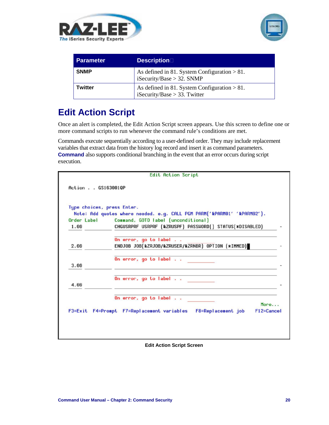



| <b>Parameter</b> | <b>Description</b>                                                                |
|------------------|-----------------------------------------------------------------------------------|
| <b>SNMP</b>      | As defined in 81. System Configuration $> 81$ .<br>iSecurity/Base $>$ 32. SNMP    |
| Twitter          | As defined in 81. System Configuration $> 81$ .<br>iSecurity/Base $>$ 33. Twitter |

## <span id="page-22-0"></span>**Edit Action Script**

Once an alert is completed, the Edit Action Script screen appears. Use this screen to define one or more command scripts to run whenever the command rule's conditions are met.

Commands execute sequentially according to a user-defined order. They may include replacement variables that extract data from the history log record and insert it as command parameters. **Command** also supports conditional branching in the event that an error occurs during script execution.

| Order Label | Note: Add quotes where needed. e.g. CALL PGM PARM('&PARM01' '&PARM02').<br>Command, GOTO label (unconditional) |
|-------------|----------------------------------------------------------------------------------------------------------------|
|             |                                                                                                                |
| 1.00        | CHGUSRPRF USRPRF (&ZRUSPF) PASSHORD() STATUS(*DISABLED)                                                        |
|             |                                                                                                                |
| 2.00        | On error, go to label<br>ENDJOB JOB(&ZRJOB/&ZRUSER/&ZRNBR) OPTION (*IMMED)                                     |
|             |                                                                                                                |
|             | On error, go to label                                                                                          |
| 3.00        |                                                                                                                |
|             |                                                                                                                |
| 4.00        |                                                                                                                |
|             |                                                                                                                |
|             |                                                                                                                |
|             | On error, go to label                                                                                          |

**Edit Action Script Screen**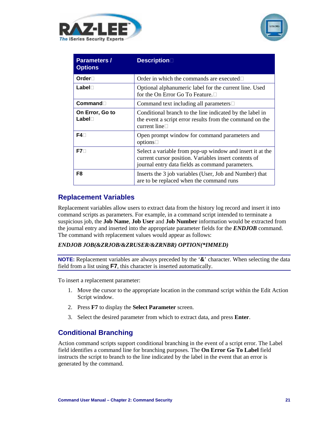



| <b>Parameters /</b><br><b>Options</b> | <b>Description</b>                                                                                                                                                     |
|---------------------------------------|------------------------------------------------------------------------------------------------------------------------------------------------------------------------|
| Order $\Box$                          | Order in which the commands are executed $\Box$                                                                                                                        |
| $Label \Box$                          | Optional alphanumeric label for the current line. Used<br>for the On Error Go To Feature.                                                                              |
| Command□                              | Command text including all parameters $\square$                                                                                                                        |
| On Error, Go to<br>$Label \Box$       | Conditional branch to the line indicated by the label in<br>the event a script error results from the command on the<br>current line $\square$                         |
| $F4\Box$                              | Open prompt window for command parameters and<br>options                                                                                                               |
| $F7\Box$                              | Select a variable from pop-up window and insert it at the<br>current cursor position. Variables insert contents of<br>journal entry data fields as command parameters. |
| F8                                    | Inserts the 3 job variables (User, Job and Number) that<br>are to be replaced when the command runs                                                                    |

### <span id="page-23-0"></span>**Replacement Variables**

Replacement variables allow users to extract data from the history log record and insert it into command scripts as parameters. For example, in a command script intended to terminate a suspicious job, the **Job Name**, **Job User** and **Job Number** information would be extracted from the journal entry and inserted into the appropriate parameter fields for the *ENDJOB* command. The command with replacement values would appear as follows:

### *ENDJOB JOB(&ZRJOB/&ZRUSER/&ZRNBR) OPTION(\*IMMED)*

**NOTE:** Replacement variables are always preceded by the '**&**' character. When selecting the data field from a list using **F7**, this character is inserted automatically.

To insert a replacement parameter:

- 1. Move the cursor to the appropriate location in the command script within the Edit Action Script window.
- 2. Press **F7** to display the **Select Parameter** screen.
- 3. Select the desired parameter from which to extract data, and press **Enter**.

### <span id="page-23-1"></span>**Conditional Branching**

Action command scripts support conditional branching in the event of a script error. The Label field identifies a command line for branching purposes. The **On Error Go To Label** field instructs the script to branch to the line indicated by the label in the event that an error is generated by the command.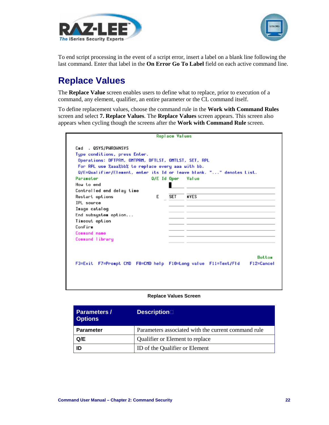



To end script processing in the event of a script error, insert a label on a blank line following the last command. Enter that label in the **On Error Go To Label** field on each active command line.

## <span id="page-24-0"></span>**Replace Values**

The **Replace Value** screen enables users to define what to replace, prior to execution of a command, any element, qualifier, an entire parameter or the CL command itself.

To define replacement values, choose the command rule in the **Work with Command Rules** screen and select **7. Replace Values**. The **Replace Values** screen appears. This screen also appears when cycling though the screens after the **Work with Command Rule** screen.

|                                                                                                                                                                                                                                            |   | <b>Replace Values</b> |                                                       |                             |
|--------------------------------------------------------------------------------------------------------------------------------------------------------------------------------------------------------------------------------------------|---|-----------------------|-------------------------------------------------------|-----------------------------|
| Cmd. QSYS/PURDHNSYS<br>Type conditions, press Enter.<br>Operations: DFTPRM, OMTPRM, DFTLST, OMTLST, SET, RPL<br>For RPL use %aaa%bb% to replace every aaa with bb.<br>Q/E=Qualifier/Element, enter its Id or leave blank. "" denotes List. |   |                       |                                                       |                             |
| Parameter                                                                                                                                                                                                                                  |   |                       | Q/E Id Oper Value                                     |                             |
| How to end                                                                                                                                                                                                                                 |   |                       |                                                       |                             |
| Controlled end delay time                                                                                                                                                                                                                  | E | <b>SET</b>            | <b>*YES</b>                                           |                             |
| Restart options<br>IPL source                                                                                                                                                                                                              |   |                       |                                                       |                             |
| Image catalog                                                                                                                                                                                                                              |   |                       |                                                       |                             |
| End subsystem option                                                                                                                                                                                                                       |   |                       |                                                       |                             |
| Timeout option                                                                                                                                                                                                                             |   |                       |                                                       |                             |
| Confirm                                                                                                                                                                                                                                    |   |                       |                                                       |                             |
| Command name                                                                                                                                                                                                                               |   |                       |                                                       |                             |
| Command library                                                                                                                                                                                                                            |   |                       |                                                       |                             |
| $F3 = Exit$                                                                                                                                                                                                                                |   |                       | F7=Prompt CMD F8=CMD help F10=Long value F11=Text/Fld | <b>Bottom</b><br>F12=Cancel |

#### **Replace Values Screen**

| <b>Parameters /</b><br><b>Options</b> | <b>Description</b>                                  |
|---------------------------------------|-----------------------------------------------------|
| <b>Parameter</b>                      | Parameters associated with the current command rule |
| Q/E                                   | Qualifier or Element to replace                     |
| ID                                    | ID of the Qualifier or Element                      |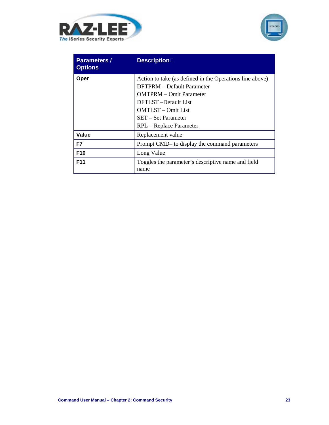



| <b>Parameters /</b><br><b>Options</b> | <b>Description</b>                                                                                                                                                                                                        |
|---------------------------------------|---------------------------------------------------------------------------------------------------------------------------------------------------------------------------------------------------------------------------|
| Oper                                  | Action to take (as defined in the Operations line above)<br><b>DFTPRM</b> – Default Parameter<br><b>OMTPRM</b> – Omit Parameter<br><b>DFTLST</b> –Default List<br><b>OMTLST</b> – Omit List<br><b>SET</b> – Set Parameter |
|                                       | RPL – Replace Parameter                                                                                                                                                                                                   |
| Value                                 | Replacement value                                                                                                                                                                                                         |
| F7                                    | Prompt CMD– to display the command parameters                                                                                                                                                                             |
| F <sub>10</sub>                       | Long Value                                                                                                                                                                                                                |
| F <sub>11</sub>                       | Toggles the parameter's descriptive name and field<br>name                                                                                                                                                                |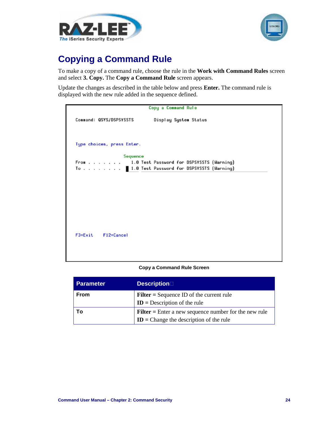



## <span id="page-26-0"></span>**Copying a Command Rule**

To make a copy of a command rule, choose the rule in the **Work with Command Rules** screen and select **3. Copy.** The **Copy a Command Rule** screen appears.

Update the changes as described in the table below and press **Enter.** The command rule is displayed with the new rule added in the sequence defined.

| Copy a Command Rule        |                                                |
|----------------------------|------------------------------------------------|
| Command: QSYS/DSPSYSSTS    | Display System Status                          |
| Type choices, press Enter. |                                                |
| Sequence                   |                                                |
|                            | From 1.0 Test Password for DSPSYSSTS (Warning) |
|                            | To 1.0 Test Password for DSPSYSSTS (Warning)   |
|                            |                                                |
|                            |                                                |
|                            |                                                |
|                            |                                                |
|                            |                                                |
|                            |                                                |
|                            |                                                |
|                            |                                                |
| F3=Exit F12=Cancel         |                                                |
|                            |                                                |
|                            |                                                |
|                            |                                                |

#### **Copy a Command Rule Screen**

| Parameter   | <b>Description</b>                                                                                   |
|-------------|------------------------------------------------------------------------------------------------------|
| <b>From</b> | <b>Filter</b> = Sequence ID of the current rule<br>$ID = Description of the rule$                    |
| To          | $Filter = Enter$ a new sequence number for the new rule<br>$ID = Change the description of the rule$ |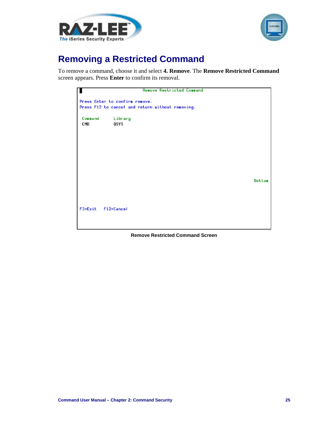



# <span id="page-27-0"></span>**Removing a Restricted Command**

To remove a command, choose it and select **4. Remove**. The **Remove Restricted Command** screen appears. Press **Enter** to confirm its removal.



#### **Remove Restricted Command Screen**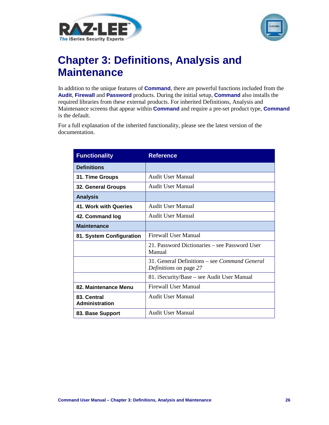



# <span id="page-28-0"></span>**Chapter 3: Definitions, Analysis and Maintenance**

In addition to the unique features of **Command**, there are powerful functions included from the **Audit**, **Firewall** and **Password** products. During the initial setup, **Command** also installs the required libraries from these external products. For inherited Definitions, Analysis and Maintenance screens that appear within **Command** and require a pre-set product type, **Command** is the default.

For a full explanation of the inherited functionality, please see the latest version of the documentation.

| <b>Functionality</b>                 | <b>Reference</b>                                                        |
|--------------------------------------|-------------------------------------------------------------------------|
| <b>Definitions</b>                   |                                                                         |
| 31. Time Groups                      | Audit User Manual                                                       |
| 32. General Groups                   | Audit User Manual                                                       |
| <b>Analysis</b>                      |                                                                         |
| 41. Work with Queries                | <b>Audit User Manual</b>                                                |
| 42. Command log                      | Audit User Manual                                                       |
| <b>Maintenance</b>                   |                                                                         |
| 81. System Configuration             | Firewall User Manual                                                    |
|                                      | 21. Password Dictionaries – see Password User<br>Manual                 |
|                                      | 31. General Definitions – see Command General<br>Definitions on page 27 |
|                                      | 81. iSecurity/Base – see Audit User Manual                              |
| 82. Maintenance Menu                 | Firewall User Manual                                                    |
| 83. Central<br><b>Administration</b> | Audit User Manual                                                       |
| 83. Base Support                     | <b>Audit User Manual</b>                                                |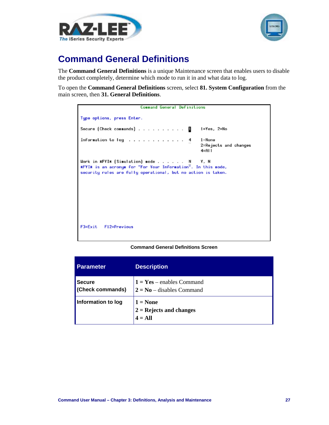



## <span id="page-29-0"></span>**Command General Definitions**

The **Command General Definitions** is a unique Maintenance screen that enables users to disable the product completely, determine which mode to run it in and what data to log.

To open the **Command General Definitions** screen, select **81. System Configuration** from the main screen, then **31. General Definitions**.



**Command General Definitions Screen**

| <b>Parameter</b>                  | <b>Description</b>                                         |
|-----------------------------------|------------------------------------------------------------|
| <b>Secure</b><br>(Check commands) | $1 = Yes - enables Command$<br>$2 = No - disables Command$ |
| Information to log                | $1 = None$<br>$2 =$ Rejects and changes<br>$4 = All$       |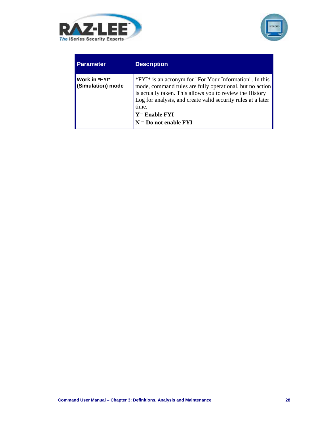



| <b>Parameter</b>                   | <b>Description</b>                                                                                                                                                                                                                                                                                          |
|------------------------------------|-------------------------------------------------------------------------------------------------------------------------------------------------------------------------------------------------------------------------------------------------------------------------------------------------------------|
| Work in *FYI*<br>(Simulation) mode | *FYI* is an acronym for "For Your Information". In this<br>mode, command rules are fully operational, but no action<br>is actually taken. This allows you to review the History<br>Log for analysis, and create valid security rules at a later<br>time.<br>$Y =$ Enable $FYI$<br>$N = Do$ not enable $FYI$ |